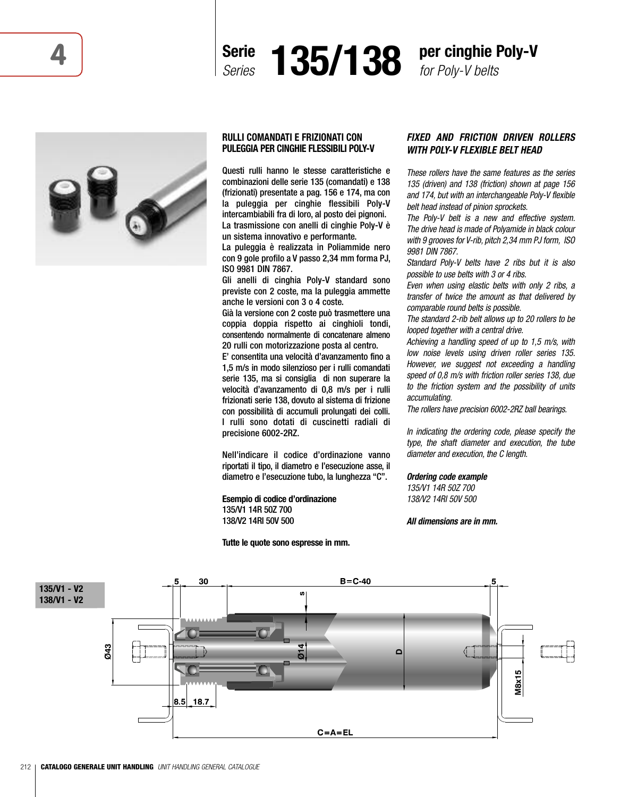



*for Poly-V belts*



## **RULLI COMANDATI E FRIZIONATI CON PULEGGIA PER CINGHIE FLESSIBILI POLY-V**

Questi rulli hanno le stesse caratteristiche e combinazioni delle serie 135 (comandati) e 138 (frizionati) presentate a pag. 156 e 174, ma con la puleggia per cinghie flessibili Poly-V intercambiabili fra di loro, al posto dei pignoni. La trasmissione con anelli di cinghie Poly-V è un sistema innovativo e performante.

La puleggia è realizzata in Poliammide nero con 9 gole profilo a V passo 2,34 mm forma PJ, ISO 9981 DIN 7867.

Gli anelli di cinghia Poly-V standard sono previste con 2 coste, ma la puleggia ammette anche le versioni con 3 o 4 coste.

Già la versione con 2 coste può trasmettere una coppia doppia rispetto ai cinghioli tondi, consentendo normalmente di concatenare almeno 20 rulli con motorizzazione posta al centro.

E' consentita una velocità d'avanzamento fino a 1,5 m/s in modo silenzioso per i rulli comandati serie 135, ma si consiglia di non superare la velocità d'avanzamento di 0,8 m/s per i rulli frizionati serie 138, dovuto al sistema di frizione con possibilità di accumuli prolungati dei colli. I rulli sono dotati di cuscinetti radiali di precisione 6002-2RZ.

Nell'indicare il codice d'ordinazione vanno riportati il tipo, il diametro e l'esecuzione asse, il diametro e l'esecuzione tubo, la lunghezza "C".

**Esempio di codice d'ordinazione** 135/V1 14R 50Z 700 138/V2 14RI 50V 500

**Tutte le quote sono espresse in mm.**

# *FIXED AND FRICTION DRIVEN ROLLERS WITH POLY-V FLEXIBLE BELT HEAD*

*These rollers have the same features as the series 135 (driven) and 138 (friction) shown at page 156 and 174, but with an interchangeable Poly-V flexible belt head instead of pinion sprockets.*

*The Poly-V belt is a new and effective system. The drive head is made of Polyamide in black colour with 9 grooves for V-rib, pitch 2,34 mm PJ form, ISO 9981 DIN 7867.*

*Standard Poly-V belts have 2 ribs but it is also possible to use belts with 3 or 4 ribs.*

*Even when using elastic belts with only 2 ribs, a transfer of twice the amount as that delivered by comparable round belts is possible.*

*The standard 2-rib belt allows up to 20 rollers to be looped together with a central drive.*

*Achieving a handling speed of up to 1,5 m/s, with low noise levels using driven roller series 135. However, we suggest not exceeding a handling speed of 0,8 m/s with friction roller series 138, due to the friction system and the possibility of units accumulating.*

*The rollers have precision 6002-2RZ ball bearings.*

*In indicating the ordering code, please specify the type, the shaft diameter and execution, the tube diameter and execution, the C length.*

## *Ordering code example*

*135/V1 14R 50Z 700 138/V2 14RI 50V 500*

*All dimensions are in mm.*

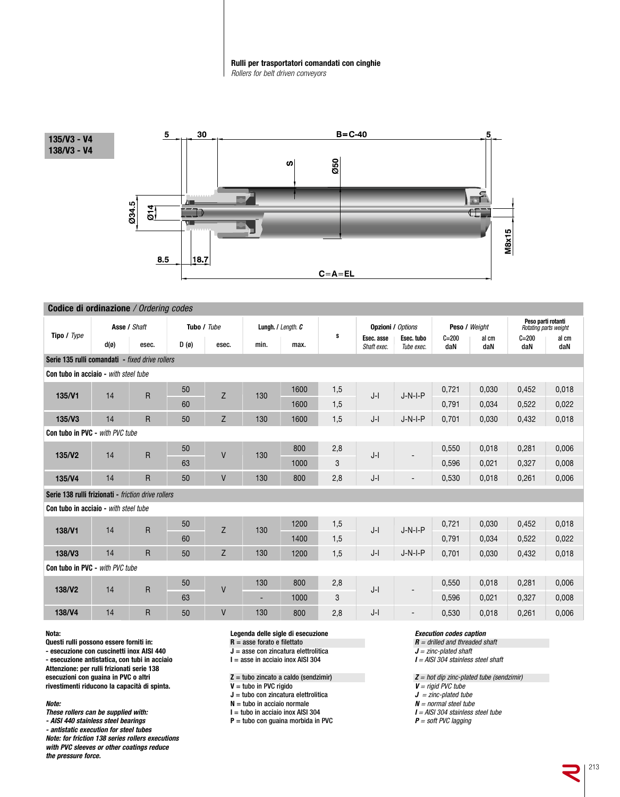### **Rulli per trasportatori comandati con cinghie** *Rollers for belt driven conveyors*



| <b>Codice di ordinazione</b> / Ordering codes       |                |                |             |       |                    |      |     |                           |                          |                  |              |                                             |              |
|-----------------------------------------------------|----------------|----------------|-------------|-------|--------------------|------|-----|---------------------------|--------------------------|------------------|--------------|---------------------------------------------|--------------|
| Tipo / Type                                         | Asse / Shaft   |                | Tubo / Tube |       | Lungh. / Length. C |      |     | <b>Opzioni / Options</b>  |                          | Peso / Weight    |              | Peso parti rotanti<br>Rotating parts weight |              |
|                                                     | $d(\emptyset)$ | esec.          | D(0)        | esec. | min.               | max. | s   | Esec. asse<br>Shaft exec. | Esec. tubo<br>Tube exec. | $C = 200$<br>daN | al cm<br>daN | $C = 200$<br>daN                            | al cm<br>daN |
| Serie 135 rulli comandati - fixed drive rollers     |                |                |             |       |                    |      |     |                           |                          |                  |              |                                             |              |
| Con tubo in acciaio - with steel tube               |                |                |             |       |                    |      |     |                           |                          |                  |              |                                             |              |
| 135/V1                                              | 14             | R              | 50          | Z     | 130                | 1600 | 1,5 | $J-I$                     | $J-N-I-P$                | 0.721            | 0,030        | 0,452                                       | 0,018        |
|                                                     |                |                | 60          |       |                    | 1600 | 1,5 |                           |                          | 0.791            | 0.034        | 0.522                                       | 0.022        |
| 135/V3                                              | 14             | $\mathsf{R}$   | 50          | Z     | 130                | 1600 | 1,5 | $J-I$                     | $J-N-I-P$                | 0,701            | 0,030        | 0,432                                       | 0,018        |
| Con tubo in PVC - with PVC tube                     |                |                |             |       |                    |      |     |                           |                          |                  |              |                                             |              |
| 135/V <sub>2</sub>                                  | 14             | R              | 50          | V     | 130                | 800  | 2,8 | $J-I$                     |                          | 0,550            | 0,018        | 0,281                                       | 0,006        |
|                                                     |                |                | 63          |       |                    | 1000 | 3   |                           |                          | 0,596            | 0.021        | 0.327                                       | 0,008        |
| 135/V4                                              | 14             | $\overline{R}$ | 50          | V     | 130                | 800  | 2,8 | $J-I$                     |                          | 0,530            | 0,018        | 0,261                                       | 0,006        |
| Serie 138 rulli frizionati - friction drive rollers |                |                |             |       |                    |      |     |                           |                          |                  |              |                                             |              |
| <b>Con tubo in acciaio</b> - with steel tube        |                |                |             |       |                    |      |     |                           |                          |                  |              |                                             |              |
| 138/V1                                              | 14             | $\overline{R}$ | 50          | Z     | 130                | 1200 | 1,5 | $J-I$                     | $J-N-I-P$                | 0.721            | 0.030        | 0.452                                       | 0,018        |
|                                                     |                |                | 60          |       |                    | 1400 | 1,5 |                           |                          | 0.791            | 0.034        | 0.522                                       | 0,022        |
| 138/V3                                              | 14             | R              | 50          | Z     | 130                | 1200 | 1,5 | $J-I$                     | $J-N-I-P$                | 0.701            | 0.030        | 0.432                                       | 0.018        |
| Con tubo in PVC - with PVC tube                     |                |                |             |       |                    |      |     |                           |                          |                  |              |                                             |              |
| 138/V <sub>2</sub>                                  | 14             | $\overline{R}$ | 50          | V     | 130                | 800  | 2,8 | $J-I$                     | ٠                        | 0,550            | 0,018        | 0,281                                       | 0,006        |
|                                                     |                |                | 63          |       | ۰                  | 1000 | 3   |                           |                          | 0,596            | 0,021        | 0.327                                       | 0,008        |
| 138/V4                                              | 14             | $\overline{R}$ | 50          | V     | 130                | 800  | 2,8 | $J-I$                     | $\blacksquare$           | 0,530            | 0,018        | 0,261                                       | 0,006        |

**Nota:**

**Questi rulli possono essere forniti in:**

**- esecuzione con cuscinetti inox AISI 440**

**- esecuzione antistatica, con tubi in acciaio Attenzione: per rulli frizionati serie 138 esecuzioni con guaina in PVC o altri**

**rivestimenti riducono la capacità di spinta.**

## *Note:*

- *These rollers can be supplied with:*
- *- AISI 440 stainless steel bearings*

*- antistatic execution for steel tubes Note: for friction 138 series rollers executions*

*with PVC sleeves or other coatings reduce the pressure force.*

#### **Legenda delle sigle di esecuzione R** = asse forato e filettato

**J** = asse con zincatura elettrolitica

**I** = asse in acciaio inox AISI 304

 $Z =$  tubo zincato a caldo (sendzimir)

**V** = tubo in PVC rigido

**J** = tubo con zincatura elettrolitica

**N** = tubo in acciaio normale

**I** = tubo in acciaio inox AISI 304

**P** = tubo con guaina morbida in PVC

## *Execution codes caption*

*R = drilled and threaded shaft*

*J = zinc-plated shaft*

*I = AISI 304 stainless steel shaft*

*Z = hot dip zinc-plated tube (sendzimir)*

- *V = rigid PVC tube*
- *J = zinc-plated tube*
- *N = normal steel tube*
- *I = AISI 304 stainless steel tube*

*P = soft PVC lagging*